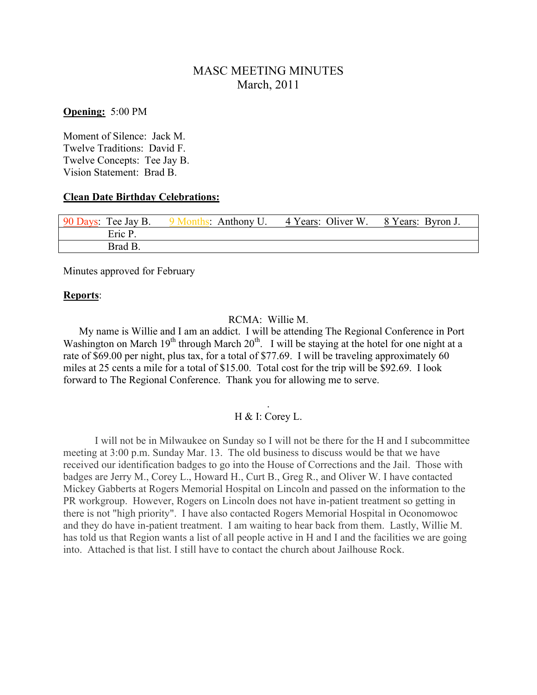# MASC MEETING MINUTES March, 2011

**Opening:** 5:00 PM

Moment of Silence: Jack M. Twelve Traditions: David F. Twelve Concepts: Tee Jay B. Vision Statement: Brad B.

#### **Clean Date Birthday Celebrations:**

| 90 Days: Tee Jay B. | 9 Months: Anthony U. | 4 Years: Oliver W. | 8 Years: Byron J. |
|---------------------|----------------------|--------------------|-------------------|
| Eric P              |                      |                    |                   |
| Brad B.             |                      |                    |                   |

Minutes approved for February

#### **Reports**:

#### RCMA: Willie M.

 My name is Willie and I am an addict. I will be attending The Regional Conference in Port Washington on March  $19<sup>th</sup>$  through March  $20<sup>th</sup>$ . I will be staying at the hotel for one night at a rate of \$69.00 per night, plus tax, for a total of \$77.69. I will be traveling approximately 60 miles at 25 cents a mile for a total of \$15.00. Total cost for the trip will be \$92.69. I look forward to The Regional Conference. Thank you for allowing me to serve.

### . H & I: Corey L.

I will not be in Milwaukee on Sunday so I will not be there for the H and I subcommittee meeting at 3:00 p.m. Sunday Mar. 13. The old business to discuss would be that we have received our identification badges to go into the House of Corrections and the Jail. Those with badges are Jerry M., Corey L., Howard H., Curt B., Greg R., and Oliver W. I have contacted Mickey Gabberts at Rogers Memorial Hospital on Lincoln and passed on the information to the PR workgroup. However, Rogers on Lincoln does not have in-patient treatment so getting in there is not "high priority". I have also contacted Rogers Memorial Hospital in Oconomowoc and they do have in-patient treatment. I am waiting to hear back from them. Lastly, Willie M. has told us that Region wants a list of all people active in H and I and the facilities we are going into. Attached is that list. I still have to contact the church about Jailhouse Rock.